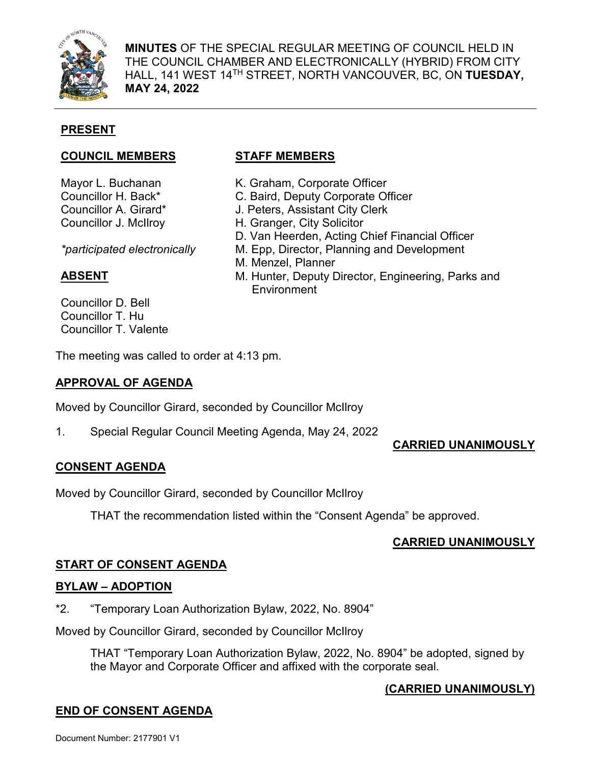

**MINUTES** OF THE SPECIAL REGULAR MEETING OF COUNCIL HELD IN THE COUNCIL CHAMBER AND ELECTRONICALLY (HYBRID) FROM CITY HALL, 141 WEST 14TH STREET, NORTH VANCOUVER, BC, ON **TUESDAY, MAY 24, 2022**

# **PRESENT**

## **COUNCIL MEMBERS STAFF MEMBERS**

Mayor L. Buchanan Councillor H. Back\* Councillor A. Girard\* Councillor J. McIlroy

*\*participated electronically*

# **ABSENT**

Councillor D. Bell Councillor T. Hu Councillor T. Valente

K. Graham, Corporate Officer C. Baird, Deputy Corporate Officer J. Peters, Assistant City Clerk H. Granger, City Solicitor D. Van Heerden, Acting Chief Financial Officer M. Epp, Director, Planning and Development M. Menzel, Planner M. Hunter, Deputy Director, Engineering, Parks and **Environment** 

The meeting was called to order at 4:13 pm.

## **APPROVAL OF AGENDA**

Moved by Councillor Girard, seconded by Councillor McIlroy

1. Special Regular Council Meeting Agenda, May 24, 2022

## **CARRIED UNANIMOUSLY**

# **CONSENT AGENDA**

Moved by Councillor Girard, seconded by Councillor McIlroy

THAT the recommendation listed within the "Consent Agenda" be approved.

## **CARRIED UNANIMOUSLY**

# **START OF CONSENT AGENDA**

## **BYLAW – ADOPTION**

\*2. "Temporary Loan Authorization Bylaw, 2022, No. 8904"

Moved by Councillor Girard, seconded by Councillor McIlroy

THAT "Temporary Loan Authorization Bylaw, 2022, No. 8904" be adopted, signed by the Mayor and Corporate Officer and affixed with the corporate seal.

## **(CARRIED UNANIMOUSLY)**

# **END OF CONSENT AGENDA**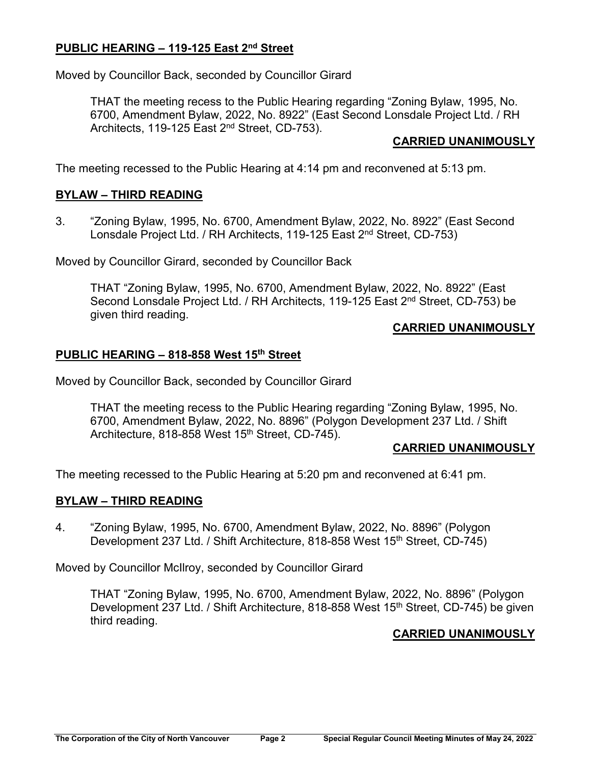## **PUBLIC HEARING – 119-125 East 2nd Street**

Moved by Councillor Back, seconded by Councillor Girard

THAT the meeting recess to the Public Hearing regarding "Zoning Bylaw, 1995, No. 6700, Amendment Bylaw, 2022, No. 8922" (East Second Lonsdale Project Ltd. / RH Architects, 119-125 East 2<sup>nd</sup> Street, CD-753).

## **CARRIED UNANIMOUSLY**

The meeting recessed to the Public Hearing at 4:14 pm and reconvened at 5:13 pm.

## **BYLAW – THIRD READING**

3. "Zoning Bylaw, 1995, No. 6700, Amendment Bylaw, 2022, No. 8922" (East Second Lonsdale Project Ltd. / RH Architects, 119-125 East 2nd Street, CD-753)

Moved by Councillor Girard, seconded by Councillor Back

THAT "Zoning Bylaw, 1995, No. 6700, Amendment Bylaw, 2022, No. 8922" (East Second Lonsdale Project Ltd. / RH Architects, 119-125 East 2<sup>nd</sup> Street, CD-753) be given third reading.

#### **CARRIED UNANIMOUSLY**

## **PUBLIC HEARING – 818-858 West 15th Street**

Moved by Councillor Back, seconded by Councillor Girard

THAT the meeting recess to the Public Hearing regarding "Zoning Bylaw, 1995, No. 6700, Amendment Bylaw, 2022, No. 8896" (Polygon Development 237 Ltd. / Shift Architecture, 818-858 West 15<sup>th</sup> Street, CD-745).

#### **CARRIED UNANIMOUSLY**

The meeting recessed to the Public Hearing at 5:20 pm and reconvened at 6:41 pm.

## **BYLAW – THIRD READING**

4. "Zoning Bylaw, 1995, No. 6700, Amendment Bylaw, 2022, No. 8896" (Polygon Development 237 Ltd. / Shift Architecture, 818-858 West 15<sup>th</sup> Street, CD-745)

Moved by Councillor McIlroy, seconded by Councillor Girard

THAT "Zoning Bylaw, 1995, No. 6700, Amendment Bylaw, 2022, No. 8896" (Polygon Development 237 Ltd. / Shift Architecture, 818-858 West 15<sup>th</sup> Street, CD-745) be given third reading.

## **CARRIED UNANIMOUSLY**